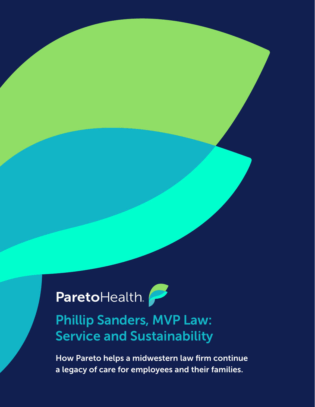## ParetoHealth.

## Phillip Sanders, MVP Law: Service and Sustainability

How Pareto helps a midwestern law firm continue a legacy of care for employees and their families.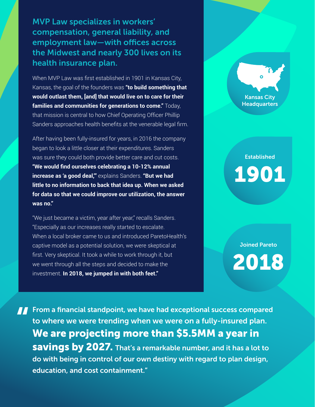MVP Law specializes in workers' compensation, general liability, and employment law—with offices across the Midwest and nearly 300 lives on its health insurance plan.

When MVP Law was first established in 1901 in Kansas City, Kansas, the goal of the founders was **"to build something that would outlast them, [and] that would live on to care for their families and communities for generations to come."** Today, that mission is central to how Chief Operating Officer Phillip Sanders approaches health benefits at the venerable legal firm.

After having been fully-insured for years, in 2016 the company began to look a little closer at their expenditures. Sanders was sure they could both provide better care and cut costs. **"We would find ourselves celebrating a 10-12% annual increase as 'a good deal,'"** explains Sanders. **"But we had little to no information to back that idea up. When we asked for data so that we could improve our utilization, the answer was no."**

"We just became a victim, year after year," recalls Sanders. "Especially as our increases really started to escalate. When a local broker came to us and introduced ParetoHealth's captive model as a potential solution, we were skeptical at first. Very skeptical. It took a while to work through it, but we went through all the steps and decided to make the investment. **In 2018, we jumped in with both feet."**

Kansas City **Headquarters** 

## **Established** 1901

Joined Pareto

2018

**From a financial standpoint, we have had exceptional success compared<br>to where we were trending when we were on a fully-insured plan.<br>We are projecting more than \$5.5MM a year in** to where we were trending when we were on a fully-insured plan. We are projecting more than \$5.5MM a year in **savings by 2027.** That's a remarkable number, and it has a lot to do with being in control of our own destiny with regard to plan design, education, and cost containment."